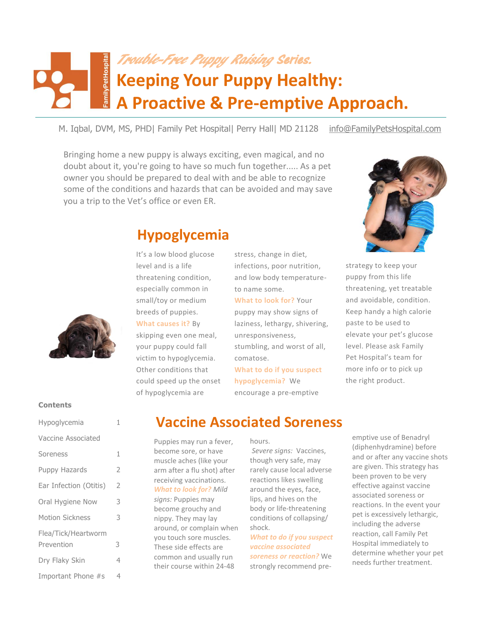

M. Iqbal, DVM, MS, PHD| Family Pet Hospital| Perry Hall| MD 21128 [info@FamilyPetsHospital.com](mailto:info@FamilyPetsHospital.com)

Bringing home a new puppy is always exciting, even magical, and no doubt about it, you're going to have so much fun together..... As a pet owner you should be prepared to deal with and be able to recognize some of the conditions and hazards that can be avoided and may save you a trip to the Vet's office or even ER.



Hypoglycemia 1

Soreness 1

Puppy Hazards 2

Ear Infection (Otitis) 2

Oral Hygiene Now 3 Motion Sickness 3

Dry Flaky Skin 4 Important Phone #s 4

Flea/Tick/Heartworm Prevention 3

Vaccine Associated

**Contents**

# **Hypoglycemia**

It's a low blood glucose level and is a life threatening condition, especially common in small/toy or medium breeds of puppies.

**What causes it?** By

skipping even one meal, your puppy could fall victim to hypoglycemia. Other conditions that could speed up the onset of hypoglycemia are

stress, change in diet, infections, poor nutrition, and low body temperatureto name some.

**What to look for?** Your puppy may show signs of laziness, lethargy, shivering, unresponsiveness, stumbling, and worst of all, comatose.

**What to do if you suspect hypoglycemia?** We encourage a pre-emptive



strategy to keep your puppy from this life threatening, yet treatable and avoidable, condition. Keep handy a high calorie paste to be used to elevate your pet's glucose level. Please ask Family Pet Hospital's team for more info or to pick up the right product.

# **Vaccine Associated Soreness**

Puppies may run a fever, become sore, or have muscle aches (like your arm after a flu shot) after receiving vaccinations. *What to look for? Mild signs:* Puppies may become grouchy and nippy. They may lay around, or complain when you touch sore muscles. These side effects are common and usually run their course within 24-48

hours.

*Severe signs:* Vaccines, though very safe, may rarely cause local adverse reactions likes swelling around the eyes, face, lips, and hives on the body or life-threatening conditions of collapsing/ shock.

*What to do if you suspect vaccine associated soreness or reaction?* We strongly recommend preemptive use of Benadryl (diphenhydramine) before and or after any vaccine shots are given. This strategy has been proven to be very effective against vaccine associated soreness or reactions. In the event your pet is excessively lethargic, including the adverse reaction, call Family Pet Hospital immediately to determine whether your pet needs further treatment.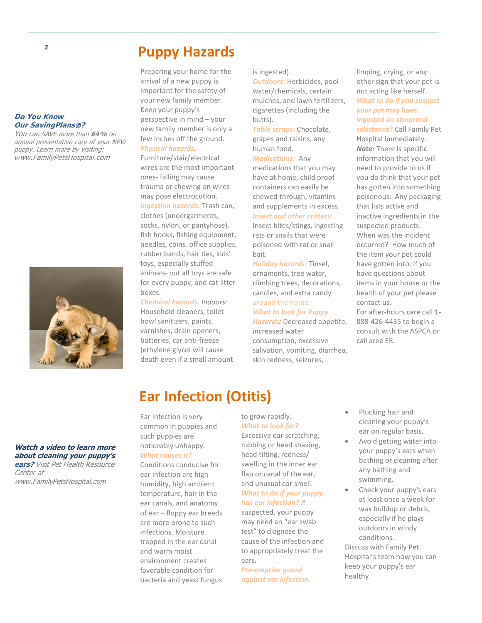#### **Do You Know Our SavingPlans?**

You can SAVE more than **64%** on annual preventative care of your NEW puppy. Learn more by visiting: [www.FamilyPetsHospital.com](http://www.familypetshospital.com/)



# <sup>2</sup> **Puppy Hazards**

Preparing your home for the arrival of a new puppy is important for the safety of your new family member. Keep your puppy's perspective in mind – your new family member is only a few inches off the ground.

### *Physical hazards.*

Furniture/stair/electrical wires are the most important ones- falling may cause trauma or chewing on wires may pose electrocution. *Ingestion hazards.* Trash can, clothes (undergarments, socks, nylon, or pantyhose), fish hooks, fishing equipment, needles, coins, office supplies, rubber bands, hair ties, kids' toys, especially stuffed animals- not all toys are safe for every puppy, and cat litter boxes.

*Chemical hazards. Indoors:* Household cleaners, toilet bowl sanitizers, paints, varnishes, drain openers, batteries, car anti-freeze (ethylene glycol will cause death even if a small amount

#### is ingested).

*Outdoors:* Herbicides, pool water/chemicals, certain mulches, and lawn fertilizers, cigarettes (including the butts).

*Table scraps:* Chocolate, grapes and raisins, any human food.

*Medications:* Any medications that you may have at home, child proof containers can easily be chewed through, vitamins and supplements in excess. *Insect and other critters:* Insect bites/stings, ingesting

rats or snails that were poisoned with rat or snail bait.

*Holiday hazards:* Tinsel, ornaments, tree water, climbing trees, decorations, candles, and extra candy around the home. *What to look for Puppy* 

*Hazards:* Decreased appetite, increased water consumption, excessive salivation, vomiting, diarrhea, skin redness, seizures,

limping, crying, or any other sign that your pet is not acting like herself. *What to do if you suspect your pet* **may have ingested an abnormal substance?** Call Family Pet Hospital immediately. *Note:* There is specific information that you will need to provide to us if you do think that your pet has gotten into something poisonous: Any packaging that lists active and inactive ingredients in the suspected products. When was the incident occurred? How much of the item your pet could have gotten into. If you have questions about items in your house or the health of your pet please contact us. For after-hours care call 1- 888-426-4435 to begin a consult with the ASPCA or call area ER.

#### **Watch a video to learn more about cleaning your puppy's ears?** Visit Pet Health Resource Center at [www.FamilyPetsHospital.com](http://www.familypetshospital.com/)

# **Ear Infection (Otitis)**

Ear infection is very common in puppies and such puppies are noticeably unhappy. *What causes it?*

Conditions conducive for ear infection are high humidity, high ambient temperature, hair in the ear canals, and anatomy of ear – floppy ear breeds are more prone to such infections. Moisture trapped in the ear canal and warm moist environment creates favorable condition for bacteria and yeast fungus

## to grow rapidly.

*What to look for?*  Excessive ear scratching, rubbing or head shaking, head tilting, redness/ swelling in the inner ear flap or canal of the ear. and unusual ear smell. *What to do if your puppy has ear infection?* If

suspected, your puppy may need an "ear swab test" to diagnose the cause of the infection and to appropriately treat the ears.

*Pre-emptive guard against ear infection.*

- Plucking hair and cleaning your puppy's ear on regular basis.
- Avoid getting water into your puppy's ears when bathing or cleaning after any bathing and swimming.
- Check your puppy's ears at least once a week for wax buildup or debris, especially if he plays outdoors in windy conditions.

Discuss with Family Pet Hospital's team how you can keep your puppy's ear healthy.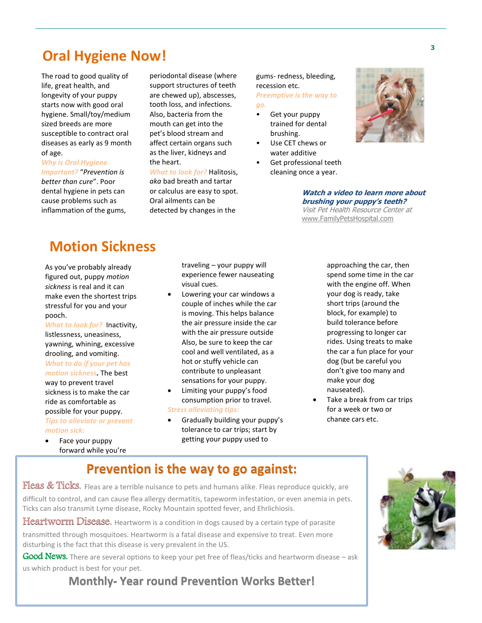## **Oral Hygiene Now!**

The road to good quality of life, great health, and longevity of your puppy starts now with good oral hygiene. Small/toy/medium sized breeds are more susceptible to contract oral diseases as early as 9 month of age.

## *Why is Oral Hygiene*

*Important?* "*Prevention is better than cure*". Poor dental hygiene in pets can cause problems such as inflammation of the gums, periodontal disease (where support structures of teeth are chewed up), abscesses, tooth loss, and infections. Also, bacteria from the mouth can get into the pet's blood stream and affect certain organs such as the liver, kidneys and the heart.

### *What to look for?* Halitosis, *aka* bad breath and tartar or calculus are easy to spot. Oral ailments can be detected by changes in the

gums- redness, bleeding, recession etc. *Preemptive is the way to* 

*go.*

- Get your puppy trained for dental brushing.
- Use CET chews or water additive
- Get professional teeth cleaning once a year.



**Watch a video to learn more about brushing your puppy's teeth?**  Visit Pet Health Resource Center at [www.FamilyPetsHospital.com](http://www.familypetshospital.com/)

## **Motion Sickness**

As you've probably already figured out, puppy *[motion](http://pets.webmd.com/dogs/dogs-and-motion-sickness)  [sickness](http://pets.webmd.com/dogs/dogs-and-motion-sickness)* is real and it can make even the shortest trips stressful for you and your pooch.

*What to look for?* Inactivity, listlessness, uneasiness, yawning, whining, excessive drooling, and vomiting. *What to do if your pet has* 

#### *motion sickness.* The best way to prevent travel sickness is to make the car ride as comfortable as possible for your puppy. *Tips to alleviate or prevent motion sick:*

• Face your puppy forward while you're traveling – your puppy will experience fewer nauseating visual cues.

- Lowering your car windows a couple of inches while the car is moving. This helps balance the air pressure inside the car with the air pressure outside Also, be sure to keep the car cool and well ventilated, as a hot or stuffy vehicle can contribute to unpleasant sensations for your puppy.
- Limiting your puppy's food consumption prior to travel. *Stress alleviating tips:*
- Gradually building your puppy's tolerance to car trips; start by getting your puppy used to

approaching the car, then spend some time in the car with the engine off. When your dog is ready, take short trips (around the block, for example) to build tolerance before progressing to longer car rides. Using treats to make the car a fun place for your dog (but be careful you don't give too many and make your dog nauseated).

 Take a break from car trips for a week or two or change cars etc.

Benadry de la component de la component de la component de la component de la component de la component de la

## **Prevention is the way to go against:**

 ${\rm F}\!{\rm le}$ as  ${\rm \&}$   ${\rm T}\!{\rm c}$ ks. Fleas are a terrible nuisance to pets and humans alike. Fleas reproduce quickly, are difficult to control, and can cause flea allergy dermatitis, tapeworm infestation, or even anemia in pets. Ticks can also transmit Lyme disease, Rocky Mountain spotted fever, and Ehrlichiosis.

Heartworm Disease. Heartworm is a condition in dogs caused by a certain type of parasite

transmitted through mosquitoes. Heartworm is a fatal disease and expensive to treat. Even more disturbing is the fact that this disease is very prevalent in the US.

Good News. There are several options to keep your pet free of fleas/ticks and heartworm disease – ask us which product is best for your pet.

## **Monthly- Year round Prevention Works Better!**